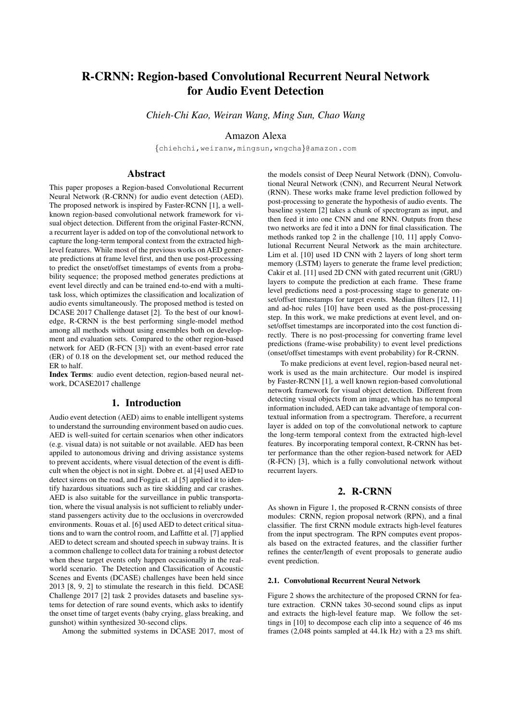# R-CRNN: Region-based Convolutional Recurrent Neural Network for Audio Event Detection

*Chieh-Chi Kao, Weiran Wang, Ming Sun, Chao Wang*

Amazon Alexa

{chiehchi,weiranw,mingsun,wngcha}@amazon.com

# Abstract

This paper proposes a Region-based Convolutional Recurrent Neural Network (R-CRNN) for audio event detection (AED). The proposed network is inspired by Faster-RCNN [1], a wellknown region-based convolutional network framework for visual object detection. Different from the original Faster-RCNN, a recurrent layer is added on top of the convolutional network to capture the long-term temporal context from the extracted highlevel features. While most of the previous works on AED generate predictions at frame level first, and then use post-processing to predict the onset/offset timestamps of events from a probability sequence; the proposed method generates predictions at event level directly and can be trained end-to-end with a multitask loss, which optimizes the classification and localization of audio events simultaneously. The proposed method is tested on DCASE 2017 Challenge dataset [2]. To the best of our knowledge, R-CRNN is the best performing single-model method among all methods without using ensembles both on development and evaluation sets. Compared to the other region-based network for AED (R-FCN [3]) with an event-based error rate (ER) of 0.18 on the development set, our method reduced the ER to half.

Index Terms: audio event detection, region-based neural network, DCASE2017 challenge

# 1. Introduction

Audio event detection (AED) aims to enable intelligent systems to understand the surrounding environment based on audio cues. AED is well-suited for certain scenarios when other indicators (e.g. visual data) is not suitable or not available. AED has been appiled to autonomous driving and driving assistance systems to prevent accidents, where visual detection of the event is difficult when the object is not in sight. Dobre et. al [4] used AED to detect sirens on the road, and Foggia et. al [5] applied it to identify hazardous situations such as tire skidding and car crashes. AED is also suitable for the surveillance in public transportation, where the visual analysis is not sufficient to reliably understand passengers activity due to the occlusions in overcrowded environments. Rouas et al. [6] used AED to detect critical situations and to warn the control room, and Laffitte et al. [7] applied AED to detect scream and shouted speech in subway trains. It is a common challenge to collect data for training a robust detector when these target events only happen occasionally in the realworld scenario. The Detection and Classification of Acoustic Scenes and Events (DCASE) challenges have been held since 2013 [8, 9, 2] to stimulate the research in this field. DCASE Challenge 2017 [2] task 2 provides datasets and baseline systems for detection of rare sound events, which asks to identify the onset time of target events (baby crying, glass breaking, and gunshot) within synthesized 30-second clips.

Among the submitted systems in DCASE 2017, most of

the models consist of Deep Neural Network (DNN), Convolutional Neural Network (CNN), and Recurrent Neural Network (RNN). These works make frame level prediction followed by post-processing to generate the hypothesis of audio events. The baseline system [2] takes a chunk of spectrogram as input, and then feed it into one CNN and one RNN. Outputs from these two networks are fed it into a DNN for final classification. The methods ranked top 2 in the challenge [10, 11] apply Convolutional Recurrent Neural Network as the main architecture. Lim et al. [10] used 1D CNN with 2 layers of long short term memory (LSTM) layers to generate the frame level prediction; Cakir et al. [11] used 2D CNN with gated recurrent unit (GRU) layers to compute the prediction at each frame. These frame level predictions need a post-processing stage to generate onset/offset timestamps for target events. Median filters [12, 11] and ad-hoc rules [10] have been used as the post-processing step. In this work, we make predictions at event level, and onset/offset timestamps are incorporated into the cost function directly. There is no post-processing for converting frame level predictions (frame-wise probability) to event level predictions (onset/offset timestamps with event probability) for R-CRNN.

To make predicions at event level, region-based neural network is used as the main architecture. Our model is inspired by Faster-RCNN [1], a well known region-based convolutional network framework for visual object detection. Different from detecting visual objects from an image, which has no temporal information included, AED can take advantage of temporal contextual information from a spectrogram. Therefore, a recurrent layer is added on top of the convolutional network to capture the long-term temporal context from the extracted high-level features. By incorporating temporal context, R-CRNN has better performance than the other region-based network for AED (R-FCN) [3], which is a fully convolutional network without recurrent layers.

# 2. R-CRNN

As shown in Figure 1, the proposed R-CRNN consists of three modules: CRNN, region proposal network (RPN), and a final classifier. The first CRNN module extracts high-level features from the input spectrogram. The RPN computes event proposals based on the extracted features, and the classifier further refines the center/length of event proposals to generate audio event prediction.

#### 2.1. Convolutional Recurrent Neural Network

Figure 2 shows the architecture of the proposed CRNN for feature extraction. CRNN takes 30-second sound clips as input and extracts the high-level feature map. We follow the settings in [10] to decompose each clip into a sequence of 46 ms frames (2,048 points sampled at 44.1k Hz) with a 23 ms shift.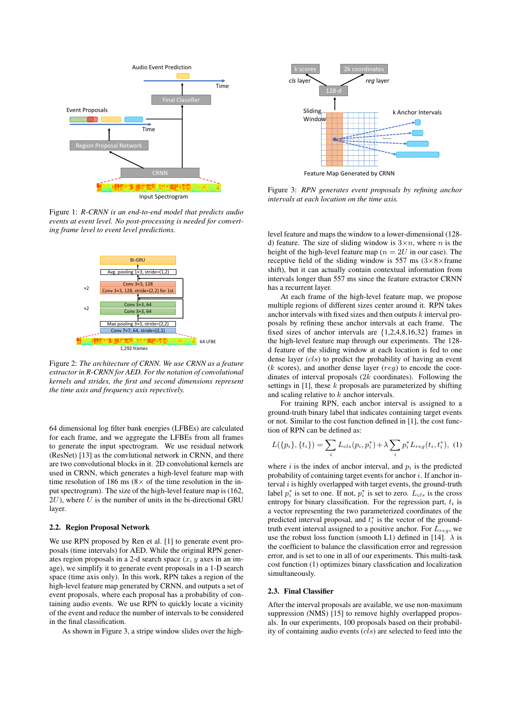

Figure 1: *R-CRNN is an end-to-end model that predicts audio events at event level. No post-processing is needed for converting frame level to event level predictions.*



Figure 2: *The architecture of CRNN. We use CRNN as a feature extractor in R-CRNN for AED. For the notation of convolutional kernels and strides, the first and second dimensions represent the time axis and frequency axis repectively.*

64 dimensional log filter bank energies (LFBEs) are calculated for each frame, and we aggregate the LFBEs from all frames to generate the input spectrogram. We use residual network (ResNet) [13] as the convlutional network in CRNN, and there are two convolutional blocks in it. 2D convolutional kernels are used in CRNN, which generates a high-level feature map with time resolution of 186 ms ( $8 \times$  of the time resolution in the input spectrogram). The size of the high-level feature map is (162,  $2U$ ), where U is the number of units in the bi-directional GRU layer.

#### 2.2. Region Proposal Network

We use RPN proposed by Ren et al. [1] to generate event proposals (time intervals) for AED. While the original RPN generates region proposals in a 2-d search space  $(x, y)$  axes in an image), we simplify it to generate event proposals in a 1-D search space (time axis only). In this work, RPN takes a region of the high-level feature map generated by CRNN, and outputs a set of event proposals, where each proposal has a probability of containing audio events. We use RPN to quickly locate a vicinity of the event and reduce the number of intervals to be considered in the final classification.

As shown in Figure 3, a stripe window slides over the high-



Figure 3: *RPN generates event proposals by refining anchor intervals at each location on the time axis.*

level feature and maps the window to a lower-dimensional (128 d) feature. The size of sliding window is  $3 \times n$ , where n is the height of the high-level feature map ( $n = 2U$  in our case). The receptive field of the sliding window is 557 ms  $(3\times8\times5)$  frame shift), but it can actually contain contextual information from intervals longer than 557 ms since the feature extractor CRNN has a recurrent layer.

At each frame of the high-level feature map, we propose multiple regions of different sizes center around it. RPN takes anchor intervals with fixed sizes and then outputs  $k$  interval proposals by refining these anchor intervals at each frame. The fixed sizes of anchor intervals are {1,2,4,8,16,32} frames in the high-level feature map through our experiments. The 128 d feature of the sliding window at each location is fed to one dense layer (cls) to predict the probability of having an event  $(k \text{ scores})$ , and another dense layer  $(\text{reg})$  to encode the coordinates of interval proposals (2k coordinates). Following the settings in  $[1]$ , these k proposals are parameterized by shifting and scaling relative to  $k$  anchor intervals.

For training RPN, each anchor interval is assigned to a ground-truth binary label that indicates containing target events or not. Similar to the cost function defined in [1], the cost function of RPN can be defined as:

$$
L({p_i}, {t_i}) = \sum_i L_{cls}(p_i, p_i^*) + \lambda \sum_i p_i^* L_{reg}(t_i, t_i^*), (1)
$$

where i is the index of anchor interval, and  $p_i$  is the predicted probability of containing target events for anchor  $i$ . If anchor interval  $i$  is highly overlapped with target events, the ground-truth label  $p_i^*$  is set to one. If not,  $p_i^*$  is set to zero.  $L_{cls}$  is the cross entropy for binary classification. For the regression part,  $t_i$  is a vector representing the two parameterized coordinates of the predicted interval proposal, and  $t_i^*$  is the vector of the groundtruth event interval assigned to a positive anchor. For  $L_{reg}$ , we use the robust loss function (smooth L1) defined in [14].  $\lambda$  is the coefficient to balance the classification error and regression error, and is set to one in all of our experiments. This multi-task cost function (1) optimizes binary classfication and localization simultaneously.

#### 2.3. Final Classifier

After the interval proposals are available, we use non-maximum suppression (NMS) [15] to remove highly overlapped proposals. In our experiments, 100 proposals based on their probability of containing audio events  $(cls)$  are selected to feed into the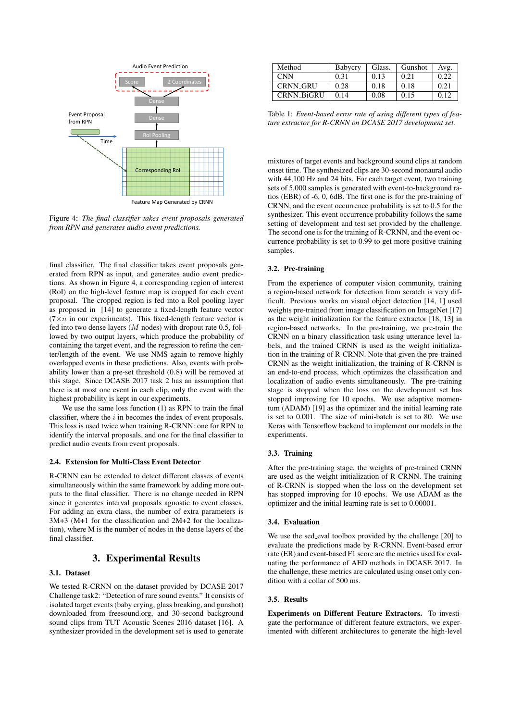![](_page_2_Figure_0.jpeg)

Figure 4: *The final classifier takes event proposals generated from RPN and generates audio event predictions.*

final classifier. The final classifier takes event proposals generated from RPN as input, and generates audio event predictions. As shown in Figure 4, a corresponding region of interest (RoI) on the high-level feature map is cropped for each event proposal. The cropped region is fed into a RoI pooling layer as proposed in [14] to generate a fixed-length feature vector  $(7 \times n)$  in our experiments). This fixed-length feature vector is fed into two dense layers  $(M \text{ nodes})$  with dropout rate 0.5, followed by two output layers, which produce the probability of containing the target event, and the regression to refine the center/length of the event. We use NMS again to remove highly overlapped events in these predictions. Also, events with probability lower than a pre-set threshold (0.8) will be removed at this stage. Since DCASE 2017 task 2 has an assumption that there is at most one event in each clip, only the event with the highest probability is kept in our experiments.

We use the same loss function (1) as RPN to train the final classifier, where the  $i$  in becomes the index of event proposals. This loss is used twice when training R-CRNN: one for RPN to identify the interval proposals, and one for the final classifier to predict audio events from event proposals.

#### 2.4. Extension for Multi-Class Event Detector

R-CRNN can be extended to detect different classes of events simultaneously within the same framework by adding more outputs to the final classifier. There is no change needed in RPN since it generates interval proposals agnostic to event classes. For adding an extra class, the number of extra parameters is 3M+3 (M+1 for the classification and 2M+2 for the localization), where M is the number of nodes in the dense layers of the final classifier.

## 3. Experimental Results

### 3.1. Dataset

We tested R-CRNN on the dataset provided by DCASE 2017 Challenge task2: "Detection of rare sound events." It consists of isolated target events (baby crying, glass breaking, and gunshot) downloaded from freesound.org, and 30-second background sound clips from TUT Acoustic Scenes 2016 dataset [16]. A synthesizer provided in the development set is used to generate

| Method            | Babycry | Glass. | Gunshot | Avg.        |
|-------------------|---------|--------|---------|-------------|
| <b>CNN</b>        | 0.31    | 0.13   | 0.21    | 0.22        |
| <b>CRNN_GRU</b>   | 0.28    | 0.18   | 0.18    | 0.21        |
| <b>CRNN BiGRU</b> | 0.14    | 0.08   | 0.15    | $0.1^\circ$ |

Table 1: *Event-based error rate of using different types of feature extractor for R-CRNN on DCASE 2017 development set.*

mixtures of target events and background sound clips at random onset time. The synthesized clips are 30-second monaural audio with 44,100 Hz and 24 bits. For each target event, two training sets of 5,000 samples is generated with event-to-background ratios (EBR) of -6, 0, 6dB. The first one is for the pre-training of CRNN, and the event occurrence probability is set to 0.5 for the synthesizer. This event occurrence probability follows the same setting of development and test set provided by the challenge. The second one is for the training of R-CRNN, and the event occurrence probability is set to 0.99 to get more positive training samples.

#### 3.2. Pre-training

From the experience of computer vision community, training a region-based network for detection from scratch is very difficult. Previous works on visual object detection [14, 1] used weights pre-trained from image classification on ImageNet [17] as the weight initialization for the feature extractor [18, 13] in region-based networks. In the pre-training, we pre-train the CRNN on a binary classification task using utterance level labels, and the trained CRNN is used as the weight initialization in the training of R-CRNN. Note that given the pre-trained CRNN as the weight initialization, the training of R-CRNN is an end-to-end process, which optimizes the classification and localization of audio events simultaneously. The pre-training stage is stopped when the loss on the development set has stopped improving for 10 epochs. We use adaptive momentum (ADAM) [19] as the optimizer and the initial learning rate is set to 0.001. The size of mini-batch is set to 80. We use Keras with Tensorflow backend to implement our models in the experiments.

#### 3.3. Training

After the pre-training stage, the weights of pre-trained CRNN are used as the weight initialization of R-CRNN. The training of R-CRNN is stopped when the loss on the development set has stopped improving for 10 epochs. We use ADAM as the optimizer and the initial learning rate is set to 0.00001.

#### 3.4. Evaluation

We use the sed eval toolbox provided by the challenge [20] to evaluate the predictions made by R-CRNN. Event-based error rate (ER) and event-based F1 score are the metrics used for evaluating the performance of AED methods in DCASE 2017. In the challenge, these metrics are calculated using onset only condition with a collar of 500 ms.

## 3.5. Results

Experiments on Different Feature Extractors. To investigate the performance of different feature extractors, we experimented with different architectures to generate the high-level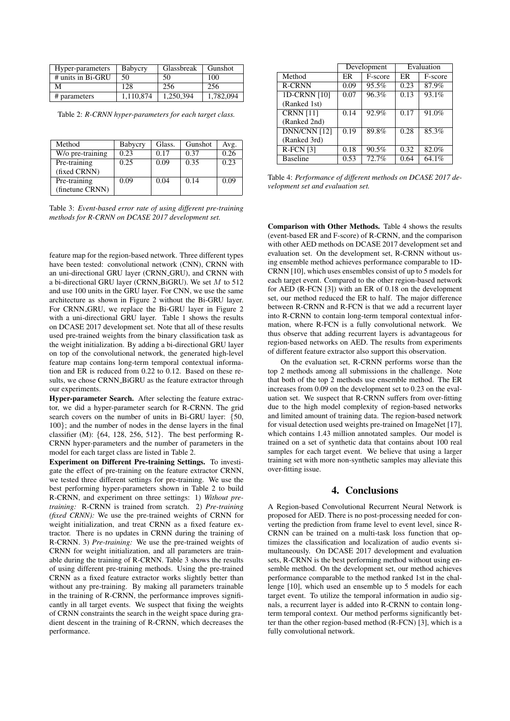| Hyper-parameters  | Babycry   | Glassbreak | Gunshot   |
|-------------------|-----------|------------|-----------|
| # units in Bi-GRU | 50        | 50         | 100       |
| М                 | 128       | 256        | 256       |
| # parameters      | 1.110.874 | 1,250,394  | 1,782,094 |

Table 2: *R-CRNN hyper-parameters for each target class.*

| Method           | Babycry | Glass. | Gunshot | Avg. |
|------------------|---------|--------|---------|------|
| W/o pre-training | 0.23    | 0.17   | 0.37    | 0.26 |
| Pre-training     | 0.25    | 0.09   | 0.35    | 0.23 |
| (fixed CRNN)     |         |        |         |      |
| Pre-training     | 0.09    | 0.04   | 0.14    | 0.09 |
| (finetune CRNN)  |         |        |         |      |

Table 3: *Event-based error rate of using different pre-training methods for R-CRNN on DCASE 2017 development set.*

feature map for the region-based network. Three different types have been tested: convolutional network (CNN), CRNN with an uni-directional GRU layer (CRNN GRU), and CRNN with a bi-directional GRU layer (CRNN BiGRU). We set  $M$  to 512 and use 100 units in the GRU layer. For CNN, we use the same architecture as shown in Figure 2 without the Bi-GRU layer. For CRNN GRU, we replace the Bi-GRU layer in Figure 2 with a uni-directional GRU layer. Table 1 shows the results on DCASE 2017 development set. Note that all of these results used pre-trained weights from the binary classification task as the weight initialization. By adding a bi-directional GRU layer on top of the convolutional network, the generated high-level feature map contains long-term temporal contextual information and ER is reduced from 0.22 to 0.12. Based on these results, we chose CRNN\_BiGRU as the feature extractor through our experiments.

Hyper-parameter Search. After selecting the feature extractor, we did a hyper-parameter search for R-CRNN. The grid search covers on the number of units in Bi-GRU layer: {50, 100}; and the number of nodes in the dense layers in the final classifier (M): {64, 128, 256, 512}. The best performing R-CRNN hyper-parameters and the number of parameters in the model for each target class are listed in Table 2.

Experiment on Different Pre-training Settings. To investigate the effect of pre-training on the feature extractor CRNN, we tested three different settings for pre-training. We use the best performing hyper-parameters shown in Table 2 to build R-CRNN, and experiment on three settings: 1) *Without pretraining:* R-CRNN is trained from scratch. 2) *Pre-training (fixed CRNN):* We use the pre-trained weights of CRNN for weight initialization, and treat CRNN as a fixed feature extractor. There is no updates in CRNN during the training of R-CRNN. 3) *Pre-training:* We use the pre-trained weights of CRNN for weight initialization, and all parameters are trainable during the training of R-CRNN. Table 3 shows the results of using different pre-training methods. Using the pre-trained CRNN as a fixed feature extractor works slightly better than without any pre-training. By making all parameters trainable in the training of R-CRNN, the performance improves significantly in all target events. We suspect that fixing the weights of CRNN constraints the search in the weight space during gradient descent in the training of R-CRNN, which decreases the performance.

|                  | Development |         | Evaluation |         |
|------------------|-------------|---------|------------|---------|
| Method           | ER          | F-score | ER         | F-score |
| <b>R-CRNN</b>    | 0.09        | 95.5%   | 0.23       | 87.9%   |
| 1D-CRNN [10]     | 0.07        | 96.3%   | 0.13       | 93.1%   |
| (Ranked 1st)     |             |         |            |         |
| <b>CRNN</b> [11] | 0.14        | 92.9%   | 0.17       | 91.0%   |
| (Ranked 2nd)     |             |         |            |         |
| DNN/CNN [12]     | 0.19        | 89.8%   | 0.28       | 85.3%   |
| (Ranked 3rd)     |             |         |            |         |
| $R$ -FCN $[3]$   | 0.18        | 90.5%   | 0.32       | 82.0%   |
| <b>Baseline</b>  | 0.53        | 72.7%   | 0.64       | 64.1%   |

Table 4: *Performance of different methods on DCASE 2017 development set and evaluation set.*

Comparison with Other Methods. Table 4 shows the results (event-based ER and F-score) of R-CRNN, and the comparison with other AED methods on DCASE 2017 development set and evaluation set. On the development set, R-CRNN without using ensemble method achieves performance comparable to 1D-CRNN [10], which uses ensembles consist of up to 5 models for each target event. Compared to the other region-based network for AED (R-FCN [3]) with an ER of 0.18 on the development set, our method reduced the ER to half. The major difference between R-CRNN and R-FCN is that we add a recurrent layer into R-CRNN to contain long-term temporal contextual information, where R-FCN is a fully convolutional network. We thus observe that adding recurrent layers is advantageous for region-based networks on AED. The results from experiments of different feature extractor also support this observation.

On the evaluation set, R-CRNN performs worse than the top 2 methods among all submissions in the challenge. Note that both of the top 2 methods use ensemble method. The ER increases from 0.09 on the development set to 0.23 on the evaluation set. We suspect that R-CRNN suffers from over-fitting due to the high model complexity of region-based networks and limited amount of training data. The region-based network for visual detection used weights pre-trained on ImageNet [17], which contains 1.43 million annotated samples. Our model is trained on a set of synthetic data that contains about 100 real samples for each target event. We believe that using a larger training set with more non-synthetic samples may alleviate this over-fitting issue.

### 4. Conclusions

A Region-based Convolutional Recurrent Neural Network is proposed for AED. There is no post-processing needed for converting the prediction from frame level to event level, since R-CRNN can be trained on a multi-task loss function that optimizes the classification and localization of audio events simultaneously. On DCASE 2017 development and evaluation sets, R-CRNN is the best performing method without using ensemble method. On the development set, our method achieves performance comparable to the method ranked 1st in the challenge [10], which used an ensemble up to 5 models for each target event. To utilize the temporal information in audio signals, a recurrent layer is added into R-CRNN to contain longterm temporal context. Our method performs significantly better than the other region-based method (R-FCN) [3], which is a fully convolutional network.